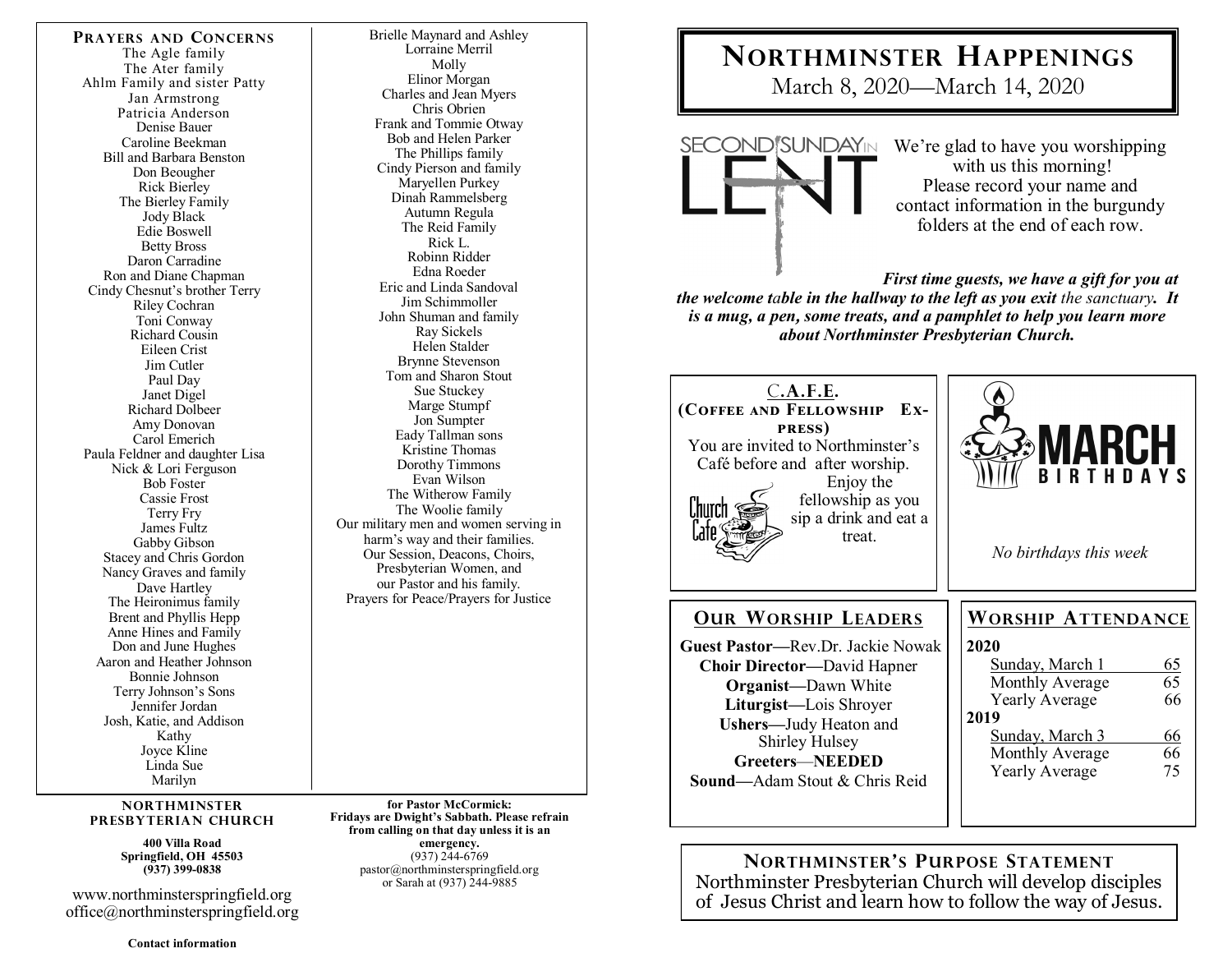**PRAYERS AND CONCERNS** The Agle family The Ater family Ahlm Family and sister Patty Jan Armstrong Patricia Anderson Denise Bauer Caroline Beekman Bill and Barbara Benston Don Beougher Rick Bierley The Bierley Family Jody Black Edie Boswell Betty Bross Daron Carradine Ron and Diane Chapman Cindy Chesnut's brother Terry Riley Cochran Toni Conway Richard Cousin Eileen Crist Jim Cutler Paul Day Janet Digel Richard Dolbeer Amy Donovan Carol Emerich Paula Feldner and daughter Lisa Nick & Lori Ferguson Bob Foster Cassie Frost Terry Fry James Fultz Gabby Gibson Stacey and Chris Gordon Nancy Graves and family Dave Hartley The Heironimus family Brent and Phyllis Hepp Anne Hines and Family Don and June Hughes Aaron and Heather Johnson Bonnie Johnson Terry Johnson's Sons Jennifer Jordan Josh, Katie, and Addison Kathy Joyce Kline Linda Sue Marilyn

#### **NORTHMINSTER PRESBYTERIAN CHURCH**

**400 Villa Road Springfield, OH 45503 (937) 399-0838** 

www.northminsterspringfield.org office@northminsterspringfield.org

**Contact information** 

Brielle Maynard and Ashley Lorraine Merril Molly Elinor Morgan Charles and Jean Myers Chris Obrien Frank and Tommie Otway Bob and Helen Parker The Phillips family Cindy Pierson and family Maryellen Purkey Dinah Rammelsberg Autumn Regula The Reid Family Rick L. Robinn Ridder Edna Roeder Eric and Linda Sandoval Jim Schimmoller John Shuman and family Ray Sickels Helen Stalder Brynne Stevenson Tom and Sharon Stout Sue Stuckey Marge Stumpf Jon Sumpter Eady Tallman sons Kristine Thomas Dorothy Timmons Evan Wilson The Witherow Family The Woolie family Our military men and women serving in harm's way and their families. Our Session, Deacons, Choirs, Presbyterian Women, and our Pastor and his family. Prayers for Peace/Prayers for Justice

**for Pastor McCormick: Fridays are Dwight's Sabbath. Please refrain from calling on that day unless it is an emergency.** (937) 244-6769 pastor@northminsterspringfield.org or Sarah at (937) 244-9885

# **NORTHMINSTER HAPPENINGS**

March 8, 2020—March 14, 2020



We're glad to have you worshipping with us this morning! Please record your name and contact information in the burgundy folders at the end of each row.

*First time guests, we have a gift for you at* 

*the welcome table in the hallway to the left as you exit the sanctuary. It is a mug, a pen***,** *some treats, and a pamphlet to help you learn more about Northminster Presbyterian Church.* 

| C.A.F.E.<br>(COFFEE AND FELLOWSHIP EX-<br><b>PRESS</b><br>You are invited to Northminster's<br>Café before and after worship.<br>Enjoy the<br>fellowship as you<br>l'hurch<br>sip a drink and eat a<br>treat.                                                                    | <b>MARCH</b><br><b>BIRTHDAYS</b><br>No birthdays this week                                                                                                                                                  |
|----------------------------------------------------------------------------------------------------------------------------------------------------------------------------------------------------------------------------------------------------------------------------------|-------------------------------------------------------------------------------------------------------------------------------------------------------------------------------------------------------------|
| <b>OUR WORSHIP LEADERS</b><br>Guest Pastor—Rev.Dr. Jackie Nowak<br><b>Choir Director—David Hapner</b><br><b>Organist</b> —Dawn White<br>Liturgist-Lois Shroyer<br>Ushers-Judy Heaton and<br><b>Shirley Hulsey</b><br>Greeters-NEEDED<br><b>Sound—Adam Stout &amp; Chris Reid</b> | <b>WORSHIP ATTENDANCE</b><br>2020<br>Sunday, March 1<br>65<br>65<br>Monthly Average<br>66<br><b>Yearly Average</b><br>2019<br>Sunday, March 3<br>66<br>66<br>Monthly Average<br><b>Yearly Average</b><br>75 |

**NORTHMINSTER'S PURPOSE STATEMENT** Northminster Presbyterian Church will develop disciples of Jesus Christ and learn how to follow the way of Jesus.